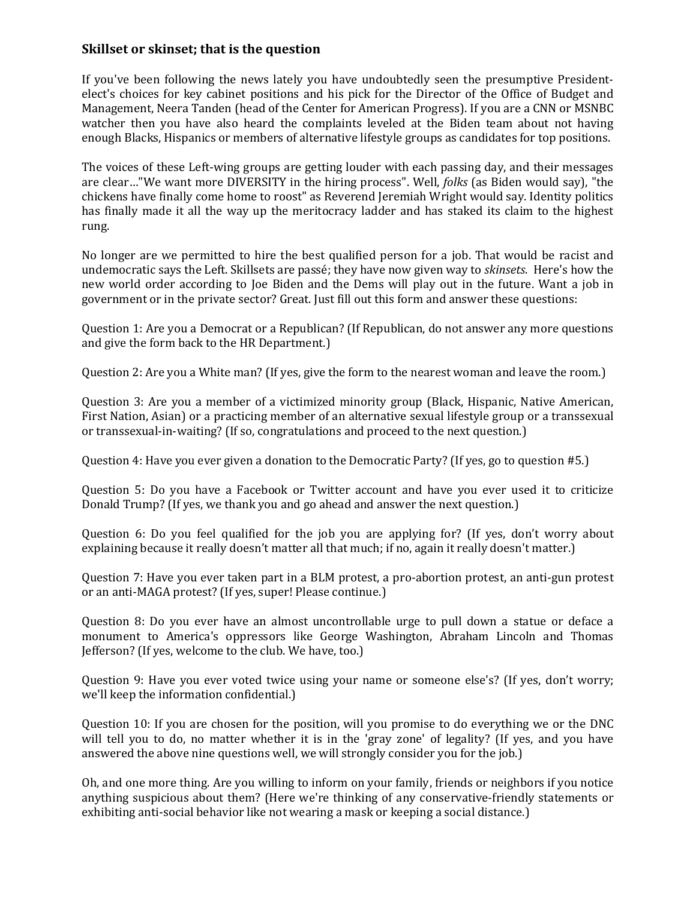## **Skillset or skinset; that is the question**

If you've been following the news lately you have undoubtedly seen the presumptive Presidentelect's choices for key cabinet positions and his pick for the Director of the Office of Budget and Management, Neera Tanden (head of the Center for American Progress). If you are a CNN or MSNBC watcher then you have also heard the complaints leveled at the Biden team about not having enough Blacks, Hispanics or members of alternative lifestyle groups as candidates for top positions.

The voices of these Left-wing groups are getting louder with each passing day, and their messages are clear…"We want more DIVERSITY in the hiring process". Well, *folks* (as Biden would say), "the chickens have finally come home to roost" as Reverend Jeremiah Wright would say. Identity politics has finally made it all the way up the meritocracy ladder and has staked its claim to the highest rung.

No longer are we permitted to hire the best qualified person for a job. That would be racist and undemocratic says the Left. Skillsets are passé; they have now given way to *skinsets*. Here's how the new world order according to Joe Biden and the Dems will play out in the future. Want a job in government or in the private sector? Great. Just fill out this form and answer these questions:

Question 1: Are you a Democrat or a Republican? (If Republican, do not answer any more questions and give the form back to the HR Department.)

Question 2: Are you a White man? (If yes, give the form to the nearest woman and leave the room.)

Question 3: Are you a member of a victimized minority group (Black, Hispanic, Native American, First Nation, Asian) or a practicing member of an alternative sexual lifestyle group or a transsexual or transsexual-in-waiting? (If so, congratulations and proceed to the next question.)

Question 4: Have you ever given a donation to the Democratic Party? (If yes, go to question #5.)

Question 5: Do you have a Facebook or Twitter account and have you ever used it to criticize Donald Trump? (If yes, we thank you and go ahead and answer the next question.)

Question 6: Do you feel qualified for the job you are applying for? (If yes, don't worry about explaining because it really doesn't matter all that much; if no, again it really doesn't matter.)

Question 7: Have you ever taken part in a BLM protest, a pro-abortion protest, an anti-gun protest or an anti-MAGA protest? (If yes, super! Please continue.)

Question 8: Do you ever have an almost uncontrollable urge to pull down a statue or deface a monument to America's oppressors like George Washington, Abraham Lincoln and Thomas Jefferson? (If yes, welcome to the club. We have, too.)

Question 9: Have you ever voted twice using your name or someone else's? (If yes, don't worry; we'll keep the information confidential.)

Question 10: If you are chosen for the position, will you promise to do everything we or the DNC will tell you to do, no matter whether it is in the 'gray zone' of legality? (If yes, and you have answered the above nine questions well, we will strongly consider you for the job.)

Oh, and one more thing. Are you willing to inform on your family, friends or neighbors if you notice anything suspicious about them? (Here we're thinking of any conservative-friendly statements or exhibiting anti-social behavior like not wearing a mask or keeping a social distance.)